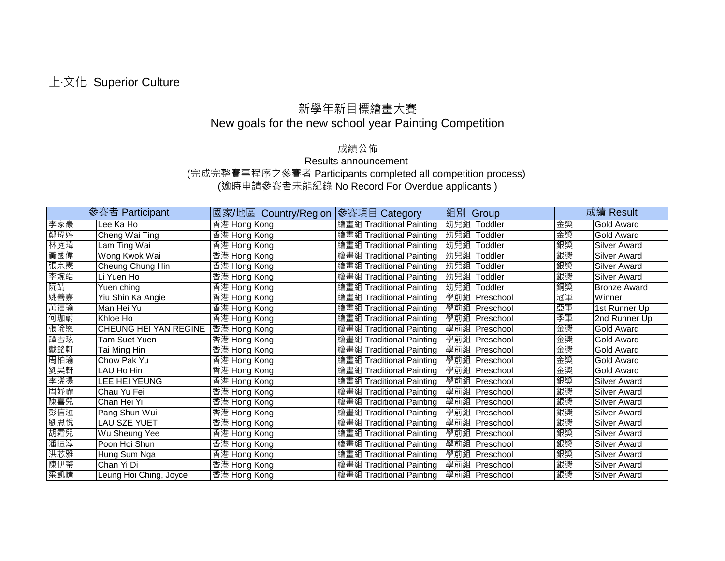## 上‧文化 Superior Culture

## 新學年新目標繪畫大賽 New goals for the new school year Painting Competition

## 成績公佈

## Results announcement (完成完整賽事程序之參賽者 Participants completed all competition process) (逾時申請參賽者未能紀錄 No Record For Overdue applicants )

|     | 參賽者 Participant              | 國家/地區 Country/Region | 參賽項目 Category            | 組別 Group         |    | 成績 Result           |
|-----|------------------------------|----------------------|--------------------------|------------------|----|---------------------|
| 李家豪 | Lee Ka Ho                    | 香港 Hong Kong         | 繪畫組 Traditional Painting | 幼兒組<br>Toddler   | 金獎 | Gold Award          |
| 鄭瑋婷 | Cheng Wai Ting               | 香港 Hong Kong         | 繪畫組 Traditional Painting | 幼兒組<br>Toddler   | 金獎 | <b>Gold Award</b>   |
| 林庭瑋 | Lam Ting Wai                 | 香港 Hong Kong         | 繪畫組 Traditional Painting | 幼兒組<br>Toddler   | 銀獎 | <b>Silver Award</b> |
| 黃國偉 | Wong Kwok Wai                | 香港 Hong Kong         | 繪畫組 Traditional Painting | 幼兒組<br>Toddler   | 銀獎 | <b>Silver Award</b> |
| 張宗憲 | Cheung Chung Hin             | 香港 Hong Kong         | 繪畫組 Traditional Painting | 幼兒組<br>Toddler   | 銀獎 | <b>Silver Award</b> |
| 李婉皓 | Li Yuen Ho                   | 香港 Hong Kong         | 繪畫組 Traditional Painting | 幼兒組<br>Toddler   | 銀獎 | <b>Silver Award</b> |
| 阮靖  | Yuen ching                   | 香港 Hong Kong         | 繪畫組 Traditional Painting | 幼兒組<br>Toddler   | 銅獎 | <b>Bronze Award</b> |
| 姚善嘉 | Yiu Shin Ka Angie            | 香港 Hong Kong         | 繪畫組 Traditional Painting | 學前組<br>Preschool | 冠軍 | Winner              |
| 萬禧瑜 | Man Hei Yu                   | 香港 Hong Kong         | 繪畫組 Traditional Painting | 學前組 Preschool    | 亞軍 | 1st Runner Up       |
| 何珈蔚 | Khloe Ho                     | 香港 Hong Kong         | 繪畫組 Traditional Painting | 學前組<br>Preschool | 季軍 | 2nd Runner Up       |
| 張晞恩 | <b>CHEUNG HEI YAN REGINE</b> | 香港 Hong Kong         | 繪畫組 Traditional Painting | 學前組 Preschool    | 金獎 | <b>Gold Award</b>   |
| 譚雪玹 | Tam Suet Yuen                | 香港 Hong Kong         | 繪畫組 Traditional Painting | 學前組 Preschool    | 金獎 | Gold Award          |
| 戴銘軒 | Tai Ming Hin                 | 香港 Hong Kong         | 繪畫組 Traditional Painting | 學前組 Preschool    | 金獎 | Gold Award          |
| 周柏瑜 | Chow Pak Yu                  | 香港 Hong Kong         | 繪畫組 Traditional Painting | 學前組 Preschool    | 金獎 | <b>Gold Award</b>   |
| 劉昊軒 | LAU Ho Hin                   | 香港 Hong Kong         | 繪畫組 Traditional Painting | 學前組 Preschool    | 金獎 | Gold Award          |
| 李晞揚 | LEE HEI YEUNG                | 香港 Hong Kong         | 繪畫組 Traditional Painting | 學前組<br>Preschool | 銀獎 | <b>Silver Award</b> |
| 周妤霏 | Chau Yu Fei                  | 香港 Hong Kong         | 繪畫組 Traditional Painting | 學前組 Preschool    | 銀獎 | <b>Silver Award</b> |
| 陳喜兒 | Chan Hei Yi                  | 香港 Hong Kong         | 繪畫組 Traditional Painting | 學前組 Preschool    | 銀獎 | <b>Silver Award</b> |
| 彭信滙 | Pang Shun Wui                | 香港 Hong Kong         | 繪畫組 Traditional Painting | 學前組<br>Preschool | 銀獎 | <b>Silver Award</b> |
| 劉思悅 | LAU SZE YUET                 | 香港 Hong Kong         | 繪畫組 Traditional Painting | 學前組 Preschool    | 銀獎 | <b>Silver Award</b> |
| 胡霜兒 | Wu Sheung Yee                | 香港 Hong Kong         | 繪畫組 Traditional Painting | 學前組<br>Preschool | 銀獎 | <b>Silver Award</b> |
| 潘暟淳 | Poon Hoi Shun                | 香港 Hong Kong         | 繪畫組 Traditional Painting | 學前組<br>Preschool | 銀獎 | <b>Silver Award</b> |
| 洪芯雅 | Hung Sum Nga                 | 香港 Hong Kong         | 繪畫組 Traditional Painting | 學前組<br>Preschool | 銀獎 | <b>Silver Award</b> |
| 陳伊蒂 | Chan Yi Di                   | 香港 Hong Kong         | 繪畫組 Traditional Painting | 學前組<br>Preschool | 銀獎 | <b>Silver Award</b> |
| 梁凱晴 | Leung Hoi Ching, Joyce       | 香港 Hong Kong         | 繪畫組 Traditional Painting | 學前組 Preschool    | 銀獎 | <b>Silver Award</b> |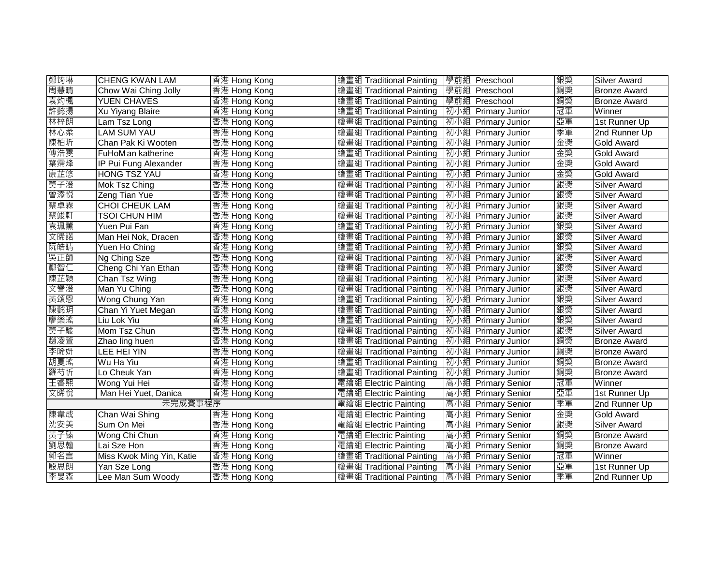| 鄭筠琳     | <b>CHENG KWAN LAM</b>     | 香港 Hong Kong | 繪畫組 Traditional Painting   學前組 Preschool |                    | 銀獎 | <b>Silver Award</b> |
|---------|---------------------------|--------------|------------------------------------------|--------------------|----|---------------------|
| 周慧晴     | Chow Wai Ching Jolly      | 香港 Hong Kong | 繪畫組 Traditional Painting                 | 學前組 Preschool      | 銅獎 | <b>Bronze Award</b> |
| 袁灼楓     | <b>YUEN CHAVES</b>        | 香港 Hong Kong | 繪畫組 Traditional Painting                 | 學前組 Preschool      | 銅獎 | <b>Bronze Award</b> |
| 許懿揚     | <b>Xu Yiyang Blaire</b>   | 香港 Hong Kong | 繪畫組 Traditional Painting                 | 初小組 Primary Junior | 冠軍 | Winner              |
| 林梓朗     | Lam Tsz Long              | 香港 Hong Kong | 繪畫組 Traditional Painting                 | 初小組 Primary Junior | 亞軍 | 1st Runner Up       |
| 林心柔     | <b>LAM SUM YAU</b>        | 香港 Hong Kong | 繪畫組 Traditional Painting                 | 初小組 Primary Junior | 季軍 | 2nd Runner Up       |
| 陳柏圻     | Chan Pak Ki Wooten        | 香港 Hong Kong | 繪畫組 Traditional Painting                 | 初小組 Primary Junior | 金獎 | <b>Gold Award</b>   |
| 傅浩雯     | FuHoM an katherine        | 香港 Hong Kong | 繪畫組 Traditional Painting                 | 初小組 Primary Junior | 金獎 | <b>Gold Award</b>   |
| 葉霈烽     | IP Pui Fung Alexander     | 香港 Hong Kong | 繪畫組 Traditional Painting                 | 初小組 Primary Junior | 金獎 | <b>Gold Award</b>   |
| 康芷悠     | <b>HONG TSZ YAU</b>       | 香港 Hong Kong | 繪畫組 Traditional Painting                 | 初小組 Primary Junior | 金獎 | <b>Gold Award</b>   |
| 莫子澄     | Mok Tsz Ching             | 香港 Hong Kong | 繪畫組 Traditional Painting                 | 初小組 Primary Junior | 銀獎 | <b>Silver Award</b> |
| 曾添悦     | Zeng Tian Yue             | 香港 Hong Kong | 繪畫組 Traditional Painting                 | 初小組 Primary Junior | 銀獎 | <b>Silver Award</b> |
| 蔡卓霖     | <b>CHOI CHEUK LAM</b>     | 香港 Hong Kong | 繪畫組 Traditional Painting                 | 初小組 Primary Junior | 銀獎 | Silver Award        |
| 蔡竣軒     | <b>TSOI CHUN HIM</b>      | 香港 Hong Kong | 繪畫組 Traditional Painting                 | 初小組 Primary Junior | 銀獎 | <b>Silver Award</b> |
| 袁珮薰     | Yuen Pui Fan              | 香港 Hong Kong | 繪畫組 Traditional Painting                 | 初小組 Primary Junior | 銀獎 | <b>Silver Award</b> |
| 文晞諾     | Man Hei Nok, Dracen       | 香港 Hong Kong | 繪畫組 Traditional Painting                 | 初小組 Primary Junior | 銀獎 | <b>Silver Award</b> |
| 阮皓晴     | Yuen Ho Ching             | 香港 Hong Kong | 繪畫組 Traditional Painting                 | 初小組 Primary Junior | 銀獎 | <b>Silver Award</b> |
| 吳正師     | Ng Ching Sze              | 香港 Hong Kong | 繪畫組 Traditional Painting                 | 初小組 Primary Junior | 銀獎 | <b>Silver Award</b> |
| 鄭智仁     | Cheng Chi Yan Ethan       | 香港 Hong Kong | 繪畫組 Traditional Painting                 | 初小組 Primary Junior | 銀獎 | <b>Silver Award</b> |
| 陳芷穎     | Chan Tsz Wing             | 香港 Hong Kong | 繪畫組 Traditional Painting                 | 初小組 Primary Junior | 銀獎 | <b>Silver Award</b> |
| 文譽澄     | Man Yu Ching              | 香港 Hong Kong | 繪畫組 Traditional Painting                 | 初小組 Primary Junior | 銀獎 | <b>Silver Award</b> |
| 黃頌恩     | Wong Chung Yan            | 香港 Hong Kong | 繪畫組 Traditional Painting                 | 初小組 Primary Junior | 銀獎 | Silver Award        |
| 陳懿玥     | Chan Yi Yuet Megan        | 香港 Hong Kong | 繪畫組 Traditional Painting                 | 初小組 Primary Junior | 銀獎 | Silver Award        |
| 廖樂瑤     | Liu Lok Yiu               | 香港 Hong Kong | 繪畫組 Traditional Painting                 | 初小組 Primary Junior | 銀獎 | <b>Silver Award</b> |
| 莫子駿     | Mom Tsz Chun              | 香港 Hong Kong | 繪畫組 Traditional Painting                 | 初小組 Primary Junior | 銀獎 | <b>Silver Award</b> |
| 趙凌萱     | Zhao ling huen            | 香港 Hong Kong | 繪畫組 Traditional Painting                 | 初小組 Primary Junior | 銅獎 | <b>Bronze Award</b> |
| 李晞妍     | LEE HEI YIN               | 香港 Hong Kong | 繪畫組 Traditional Painting                 | 初小組 Primary Junior | 銅獎 | <b>Bronze Award</b> |
| 胡夏瑤     | Wu Ha Yiu                 | 香港 Hong Kong | 繪畫組 Traditional Painting                 | 初小組 Primary Junior | 銅獎 | <b>Bronze Award</b> |
| 羅芍忻     | Lo Cheuk Yan              | 香港 Hong Kong | 繪畫組 Traditional Painting                 | 初小組 Primary Junior | 銅獎 | <b>Bronze Award</b> |
| 王睿熙     | Wong Yui Hei              | 香港 Hong Kong | 電繪組 Electric Painting                    | 高小組 Primary Senior | 冠軍 | Winner              |
| 文晞悅     | Man Hei Yuet, Danica      | 香港 Hong Kong | 電繪組 Electric Painting                    | 高小組 Primary Senior | 亞軍 | 1st Runner Up       |
| 未完成賽事程序 |                           |              | 電繪組 Electric Painting                    | 高小組 Primary Senior | 季軍 | 2nd Runner Up       |
| 陳韋成     | Chan Wai Shing            | 香港 Hong Kong | 電繪組 Electric Painting                    | 高小組 Primary Senior | 金獎 | Gold Award          |
| 沈安美     | Sum On Mei                | 香港 Hong Kong | 電繪組 Electric Painting                    | 高小組 Primary Senior | 銀獎 | <b>Silver Award</b> |
| 黃子臻     | Wong Chi Chun             | 香港 Hong Kong | 電繪組 Electric Painting                    | 高小組 Primary Senior | 銅獎 | <b>Bronze Award</b> |
| 劉思翰     | Lai Sze Hon               | 香港 Hong Kong | 電繪組 Electric Painting                    | 高小組 Primary Senior | 銅獎 | <b>Bronze Award</b> |
| 郭名言     | Miss Kwok Ming Yin, Katie | 香港 Hong Kong | 繪畫組 Traditional Painting                 | 高小組 Primary Senior | 冠軍 | Winner              |
| 殷思朗     | Yan Sze Long              | 香港 Hong Kong | 繪畫組 Traditional Painting                 | 高小組 Primary Senior | 亞重 | 1st Runner Up       |
| 李旻森     | Lee Man Sum Woody         | 香港 Hong Kong | 繪畫組 Traditional Painting                 | 高小組 Primary Senior | 季軍 | 2nd Runner Up       |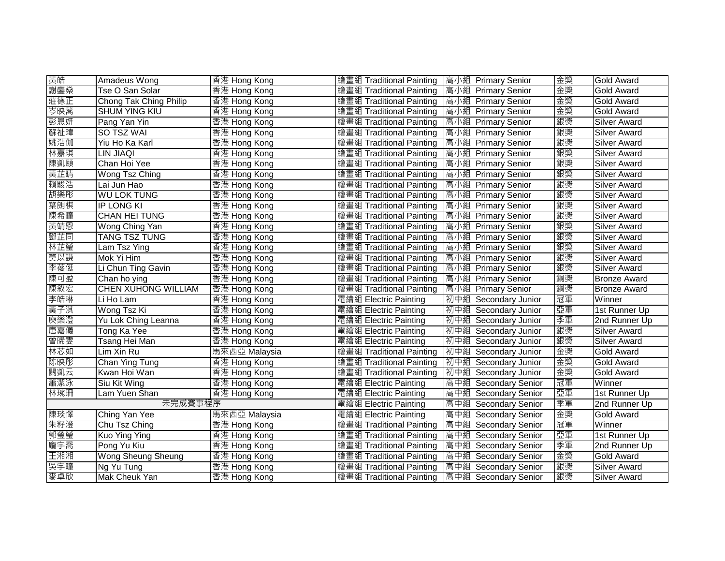| 黃皓      | Amadeus Wong               | 香港 Hong Kong  | 繪畫組 Traditional Painting   高小組 Primary Senior |                      | 金獎 | <b>Gold Award</b>   |
|---------|----------------------------|---------------|-----------------------------------------------|----------------------|----|---------------------|
| 謝鏖燊     | Tse O San Solar            | 香港 Hong Kong  | 繪畫組 Traditional Painting                      | 高小組 Primary Senior   | 金獎 | <b>Gold Award</b>   |
| 莊德正     | Chong Tak Ching Philip     | 香港 Hong Kong  | 繪畫組 Traditional Painting                      | 高小組 Primary Senior   | 金獎 | <b>Gold Award</b>   |
| 岑映蕎     | <b>SHUM YING KIU</b>       | 香港 Hong Kong  | 繪畫組 Traditional Painting                      | 高小組 Primary Senior   | 金獎 | <b>Gold Award</b>   |
| 彭恩妍     | Pang Yan Yin               | 香港 Hong Kong  | 繪畫組 Traditional Painting                      | 高小組 Primary Senior   | 銀獎 | <b>Silver Award</b> |
| 蘇祉瑋     | <b>SO TSZ WAI</b>          | 香港 Hong Kong  | 繪畫組 Traditional Painting                      | 高小組 Primary Senior   | 銀獎 | <b>Silver Award</b> |
| 姚浩伽     | Yiu Ho Ka Karl             | 香港 Hong Kong  | 繪畫組 Traditional Painting                      | 高小組 Primary Senior   | 銀獎 | <b>Silver Award</b> |
| 林嘉琪     | LIN JIAQI                  | 香港 Hong Kong  | 繪畫組 Traditional Painting                      | 高小組 Primary Senior   | 銀獎 | <b>Silver Award</b> |
| 陳凱頤     | Chan Hoi Yee               | 香港 Hong Kong  | 繪畫組 Traditional Painting                      | 高小組 Primary Senior   | 銀獎 | <b>Silver Award</b> |
| 黃芷晴     | Wong Tsz Ching             | 香港 Hong Kong  | 繪畫組 Traditional Painting                      | 高小組 Primary Senior   | 銀獎 | <b>Silver Award</b> |
| 賴駿浩     | Lai Jun Hao                | 香港 Hong Kong  | 繪畫組 Traditional Painting                      | 高小組 Primary Senior   | 銀獎 | <b>Silver Award</b> |
| 胡樂彤     | <b>WU LOK TUNG</b>         | 香港 Hong Kong  | 繪畫組 Traditional Painting                      | 高小組 Primary Senior   | 銀獎 | Silver Award        |
| 葉朗棋     | <b>IP LONG KI</b>          | 香港 Hong Kong  | 繪畫組 Traditional Painting                      | 高小組 Primary Senior   | 銀獎 | Silver Award        |
| 陳希瞳     | <b>CHAN HEI TUNG</b>       | 香港 Hong Kong  | 繪畫組 Traditional Painting                      | 高小組 Primary Senior   | 銀獎 | <b>Silver Award</b> |
| 黃靖恩     | Wong Ching Yan             | 香港 Hong Kong  | 繪畫組 Traditional Painting                      | 高小組 Primary Senior   | 銀獎 | <b>Silver Award</b> |
| 鄧芷同     | <b>TANG TSZ TUNG</b>       | 香港 Hong Kong  | 繪畫組 Traditional Painting                      | 高小組 Primary Senior   | 銀獎 | <b>Silver Award</b> |
| 林芷瑩     | Lam Tsz Ying               | 香港 Hong Kong  | 繪畫組 Traditional Painting                      | 高小組 Primary Senior   | 銀獎 | Silver Award        |
| 莫以謙     | Mok Yi Him                 | 香港 Hong Kong  | 繪畫組 Traditional Painting                      | 高小組 Primary Senior   | 銀獎 | <b>Silver Award</b> |
| 李葰侹     | Li Chun Ting Gavin         | 香港 Hong Kong  | 繪畫組 Traditional Painting                      | 高小組 Primary Senior   | 銀獎 | <b>Silver Award</b> |
| 陳可盈     | Chan ho ying               | 香港 Hong Kong  | 繪畫組 Traditional Painting                      | 高小組 Primary Senior   | 銅獎 | <b>Bronze Award</b> |
| 陳叙宏     | <b>CHEN XUHONG WILLIAM</b> | 香港 Hong Kong  | 繪畫組 Traditional Painting                      | 高小組 Primary Senior   | 銅獎 | <b>Bronze Award</b> |
| 李皓琳     | Li Ho Lam                  | 香港 Hong Kong  | 電繪組 Electric Painting                         | 初中組 Secondary Junior | 冠軍 | Winner              |
| 黃子淇     | Wong Tsz Ki                | 香港 Hong Kong  | 電繪組 Electric Painting                         | 初中組 Secondary Junior | 亞軍 | 1st Runner Up       |
| 庾樂澄     | Yu Lok Ching Leanna        | 香港 Hong Kong  | 電繪組 Electric Painting                         | 初中組 Secondary Junior | 季軍 | 2nd Runner Up       |
| 唐嘉儀     | Tong Ka Yee                | 香港 Hong Kong  | 電繪組 Electric Painting                         | 初中組 Secondary Junior | 銀獎 | <b>Silver Award</b> |
| 曾晞雯     | Tsang Hei Man              | 香港 Hong Kong  | 電繪組 Electric Painting                         | 初中組 Secondary Junior | 銀獎 | <b>Silver Award</b> |
| 林芯如     | Lim Xin Ru                 | 馬來西亞 Malaysia | 繪畫組 Traditional Painting                      | 初中組 Secondary Junior | 金獎 | Gold Award          |
| 陈映彤     | Chan Ying Tung             | 香港 Hong Kong  | 繪畫組 Traditional Painting                      | 初中組 Secondary Junior | 金獎 | <b>Gold Award</b>   |
| 關凱云     | Kwan Hoi Wan               | 香港 Hong Kong  | 繪畫組 Traditional Painting                      | 初中組 Secondary Junior | 金獎 | <b>Gold Award</b>   |
| 蕭潔泳     | Siu Kit Wing               | 香港 Hong Kong  | 電繪組 Electric Painting                         | 高中組 Secondary Senior | 冠軍 | Winner              |
| 林琬珊     | Lam Yuen Shan              | 香港 Hong Kong  | 電繪組 Electric Painting                         | 高中組 Secondary Senior | 亞軍 | 1st Runner Up       |
| 未完成賽事程序 |                            |               | 電繪組 Electric Painting                         | 高中組 Secondary Senior | 季軍 | 2nd Runner Up       |
| 陳琰懌     | Ching Yan Yee              | 馬來西亞 Malaysia | 電繪組 Electric Painting                         | 高中組 Secondary Senior | 金獎 | <b>Gold Award</b>   |
| 朱籽澄     | Chu Tsz Ching              | 香港 Hong Kong  | 繪畫組 Traditional Painting                      | 高中組 Secondary Senior | 冠軍 | Winner              |
| 郭瑩瑩     | Kuo Ying Ying              | 香港 Hong Kong  | 繪畫組 Traditional Painting                      | 高中組 Secondary Senior | 亞軍 | 1st Runner Up       |
| 龐宇喬     | Pong Yu Kiu                | 香港 Hong Kong  | 繪畫組 Traditional Painting                      | 高中組 Secondary Senior | 季軍 | 2nd Runner Up       |
| 王湘湘     | <b>Wong Sheung Sheung</b>  | 香港 Hong Kong  | 繪畫組 Traditional Painting                      | 高中組 Secondary Senior | 金獎 | <b>Gold Award</b>   |
| 吳宇瞳     | Ng Yu Tung                 | 香港 Hong Kong  | 繪畫組 Traditional Painting                      | 高中組 Secondary Senior | 銀獎 | <b>Silver Award</b> |
| 麥卓欣     | Mak Cheuk Yan              | 香港 Hong Kong  | 繪畫組 Traditional Painting 高中組 Secondary Senior |                      | 銀獎 | <b>Silver Award</b> |